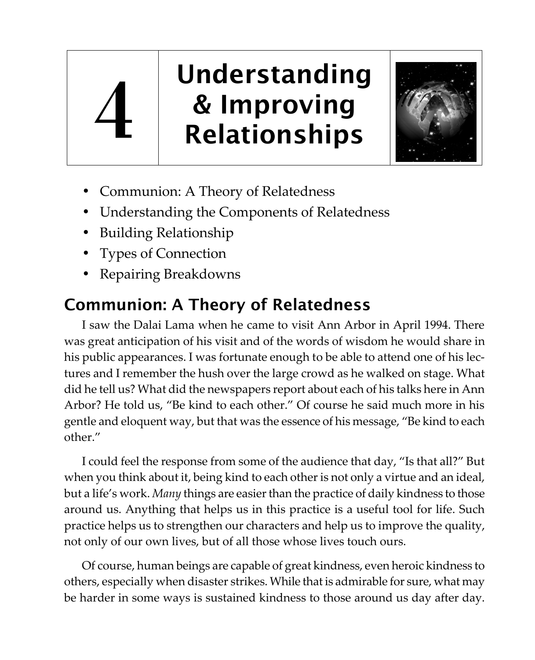# **Understanding & Improving Relationships**



- Communion: A Theory of Relatedness
- Understanding the Components of Relatedness
- Building Relationship
- Types of Connection
- Repairing Breakdowns

# **Communion: A Theory of Relatedness**

I saw the Dalai Lama when he came to visit Ann Arbor in April 1994. There was great anticipation of his visit and of the words of wisdom he would share in his public appearances. I was fortunate enough to be able to attend one of his lectures and I remember the hush over the large crowd as he walked on stage. What did he tell us? What did the newspapers report about each of his talks here in Ann Arbor? He told us, "Be kind to each other." Of course he said much more in his gentle and eloquent way, but that was the essence of his message, "Be kind to each other."

I could feel the response from some of the audience that day, "Is that all?" But when you think about it, being kind to each other is not only a virtue and an ideal, but a life's work. *Many* things are easier than the practice of daily kindness to those around us. Anything that helps us in this practice is a useful tool for life. Such practice helps us to strengthen our characters and help us to improve the quality, not only of our own lives, but of all those whose lives touch ours.

Of course, human beings are capable of great kindness, even heroic kindness to others, especially when disaster strikes. While that is admirable for sure, what may be harder in some ways is sustained kindness to those around us day after day.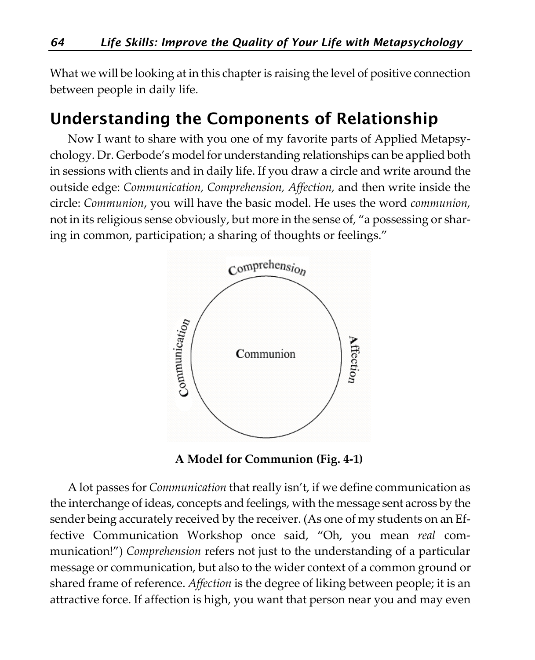What we will be looking at in this chapter is raising the level of positive connection between people in daily life.

## **Understanding the Components of Relationship**

Now I want to share with you one of my favorite parts of Applied Metapsychology. Dr. Gerbode's model for understanding relationships can be applied both in sessions with clients and in daily life. If you draw a circle and write around the outside edge: *Communication, Comprehension, Affection,* and then write inside the circle: *Communion*, you will have the basic model. He uses the word *communion,* not in its religious sense obviously, but more in the sense of, "a possessing or sharing in common, participation; a sharing of thoughts or feelings."



**A Model for Communion (Fig. 4-1)**

A lot passes for *Communication* that really isn't, if we define communication as the interchange of ideas, concepts and feelings, with the message sent across by the sender being accurately received by the receiver. (As one of my students on an Effective Communication Workshop once said, "Oh, you mean *real* communication!") *Comprehension* refers not just to the understanding of a particular message or communication, but also to the wider context of a common ground or shared frame of reference. *Affection* is the degree of liking between people; it is an attractive force. If affection is high, you want that person near you and may even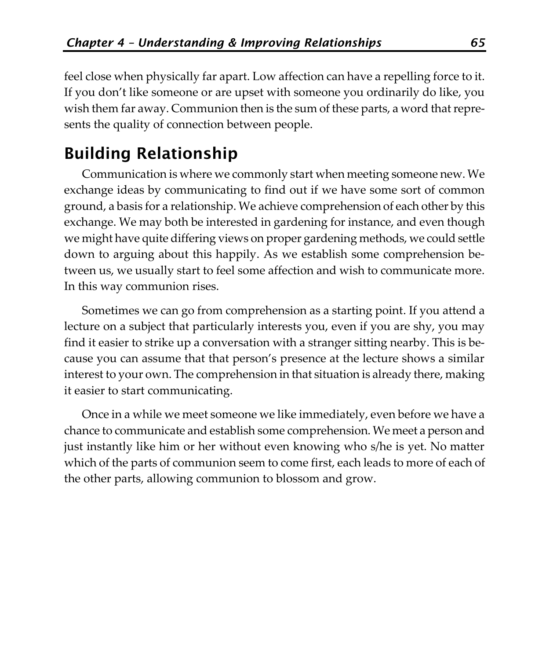feel close when physically far apart. Low affection can have a repelling force to it. If you don't like someone or are upset with someone you ordinarily do like, you wish them far away. Communion then is the sum of these parts, a word that represents the quality of connection between people.

# **Building Relationship**

Communication is where we commonly start when meeting someone new. We exchange ideas by communicating to find out if we have some sort of common ground, a basis for a relationship. We achieve comprehension of each other by this exchange. We may both be interested in gardening for instance, and even though we might have quite differing views on proper gardening methods, we could settle down to arguing about this happily. As we establish some comprehension between us, we usually start to feel some affection and wish to communicate more. In this way communion rises.

Sometimes we can go from comprehension as a starting point. If you attend a lecture on a subject that particularly interests you, even if you are shy, you may find it easier to strike up a conversation with a stranger sitting nearby. This is because you can assume that that person's presence at the lecture shows a similar interest to your own. The comprehension in that situation is already there, making it easier to start communicating.

Once in a while we meet someone we like immediately, even before we have a chance to communicate and establish some comprehension. We meet a person and just instantly like him or her without even knowing who s/he is yet. No matter which of the parts of communion seem to come first, each leads to more of each of the other parts, allowing communion to blossom and grow.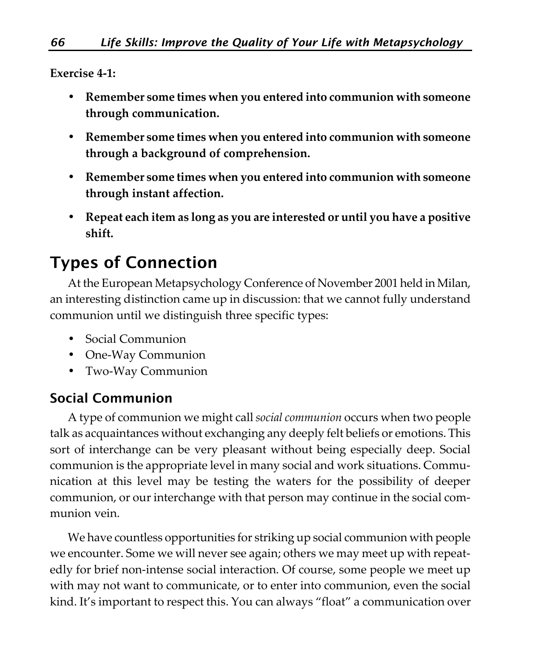**Exercise 4-1:**

- **Remember some times when you entered into communion with someone through communication.**
- **Remember some times when you entered into communion with someone through a background of comprehension.**
- **Remember some times when you entered into communion with someone through instant affection.**
- **Repeat each item as long as you are interested or until you have a positive shift.**

# **Types of Connection**

At the European Metapsychology Conference of November 2001 held in Milan, an interesting distinction came up in discussion: that we cannot fully understand communion until we distinguish three specific types:

- Social Communion
- One-Way Communion
- Two-Way Communion

#### **Social Communion**

A type of communion we might call *social communion* occurs when two people talk as acquaintances without exchanging any deeply felt beliefs or emotions. This sort of interchange can be very pleasant without being especially deep. Social communion is the appropriate level in many social and work situations. Communication at this level may be testing the waters for the possibility of deeper communion, or our interchange with that person may continue in the social communion vein.

We have countless opportunities for striking up social communion with people we encounter. Some we will never see again; others we may meet up with repeatedly for brief non-intense social interaction. Of course, some people we meet up with may not want to communicate, or to enter into communion, even the social kind. It's important to respect this. You can always "float" a communication over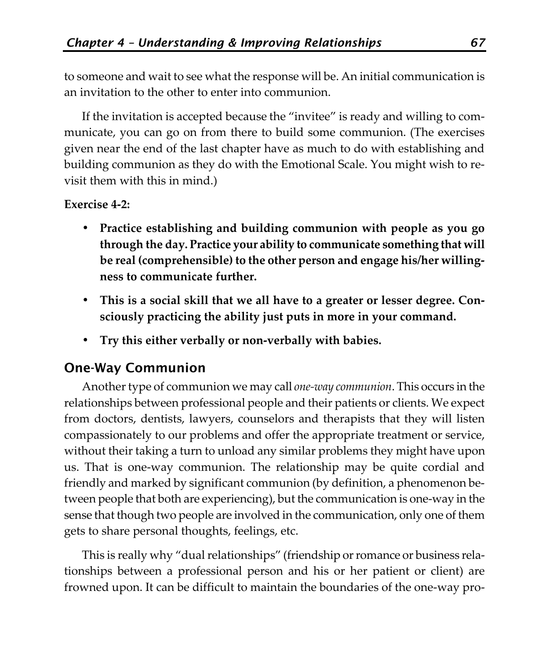to someone and wait to see what the response will be. An initial communication is an invitation to the other to enter into communion.

If the invitation is accepted because the "invitee" is ready and willing to communicate, you can go on from there to build some communion. (The exercises given near the end of the last chapter have as much to do with establishing and building communion as they do with the Emotional Scale. You might wish to revisit them with this in mind.)

**Exercise 4-2:**

- **Practice establishing and building communion with people as you go through the day. Practice your ability to communicate something that will be real (comprehensible) to the other person and engage his/her willingness to communicate further.**
- **This is a social skill that we all have to a greater or lesser degree. Consciously practicing the ability just puts in more in your command.**
- **Try this either verbally or non-verbally with babies.**

#### **One-Way Communion**

Another type of communion we may call *one-way communion*. This occurs in the relationships between professional people and their patients or clients. We expect from doctors, dentists, lawyers, counselors and therapists that they will listen compassionately to our problems and offer the appropriate treatment or service, without their taking a turn to unload any similar problems they might have upon us. That is one-way communion. The relationship may be quite cordial and friendly and marked by significant communion (by definition, a phenomenon between people that both are experiencing), but the communication is one-way in the sense that though two people are involved in the communication, only one of them gets to share personal thoughts, feelings, etc.

This is really why "dual relationships" (friendship or romance or business relationships between a professional person and his or her patient or client) are frowned upon. It can be difficult to maintain the boundaries of the one-way pro-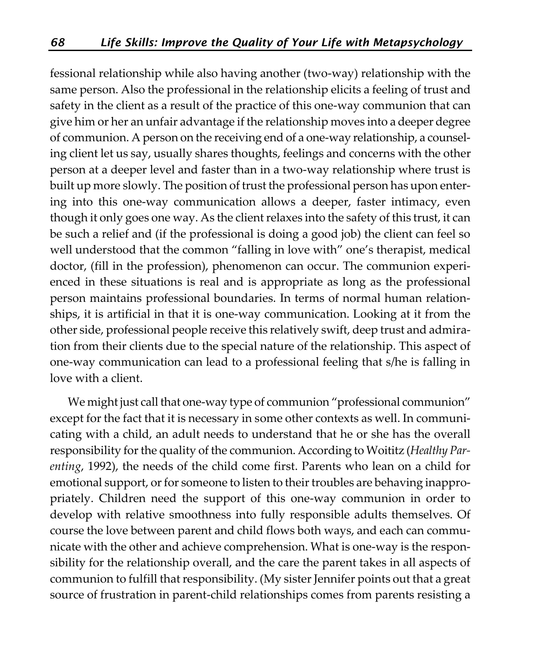fessional relationship while also having another (two-way) relationship with the same person. Also the professional in the relationship elicits a feeling of trust and safety in the client as a result of the practice of this one-way communion that can give him or her an unfair advantage if the relationship moves into a deeper degree of communion. A person on the receiving end of a one-way relationship, a counseling client let us say, usually shares thoughts, feelings and concerns with the other person at a deeper level and faster than in a two-way relationship where trust is built up more slowly. The position of trust the professional person has upon entering into this one-way communication allows a deeper, faster intimacy, even though it only goes one way. As the client relaxes into the safety of this trust, it can be such a relief and (if the professional is doing a good job) the client can feel so well understood that the common "falling in love with" one's therapist, medical doctor, (fill in the profession), phenomenon can occur. The communion experienced in these situations is real and is appropriate as long as the professional person maintains professional boundaries. In terms of normal human relationships, it is artificial in that it is one-way communication. Looking at it from the other side, professional people receive this relatively swift, deep trust and admiration from their clients due to the special nature of the relationship. This aspect of one-way communication can lead to a professional feeling that s/he is falling in love with a client.

We might just call that one-way type of communion "professional communion" except for the fact that it is necessary in some other contexts as well. In communicating with a child, an adult needs to understand that he or she has the overall responsibility for the quality of the communion. According to Woititz (*Healthy Parenting*, 1992), the needs of the child come first. Parents who lean on a child for emotional support, or for someone to listen to their troubles are behaving inappropriately. Children need the support of this one-way communion in order to develop with relative smoothness into fully responsible adults themselves. Of course the love between parent and child flows both ways, and each can communicate with the other and achieve comprehension. What is one-way is the responsibility for the relationship overall, and the care the parent takes in all aspects of communion to fulfill that responsibility. (My sister Jennifer points out that a great source of frustration in parent-child relationships comes from parents resisting a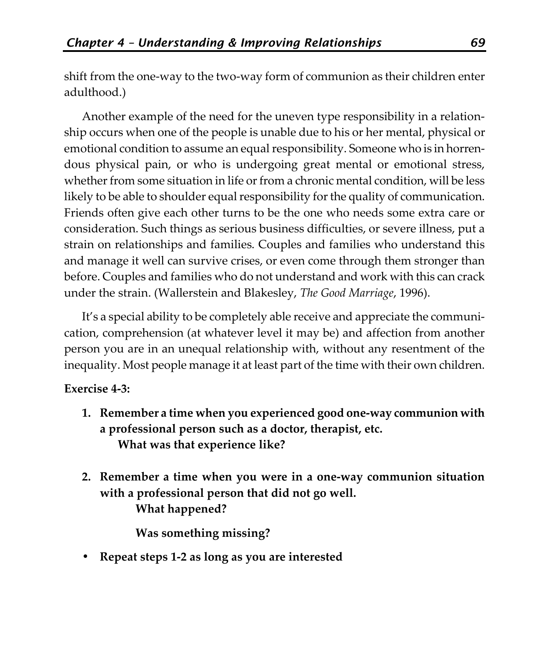shift from the one-way to the two-way form of communion as their children enter adulthood.)

Another example of the need for the uneven type responsibility in a relationship occurs when one of the people is unable due to his or her mental, physical or emotional condition to assume an equal responsibility. Someone who is in horrendous physical pain, or who is undergoing great mental or emotional stress, whether from some situation in life or from a chronic mental condition, will be less likely to be able to shoulder equal responsibility for the quality of communication. Friends often give each other turns to be the one who needs some extra care or consideration. Such things as serious business difficulties, or severe illness, put a strain on relationships and families. Couples and families who understand this and manage it well can survive crises, or even come through them stronger than before. Couples and families who do not understand and work with this can crack under the strain. (Wallerstein and Blakesley, *The Good Marriage*, 1996).

It's a special ability to be completely able receive and appreciate the communication, comprehension (at whatever level it may be) and affection from another person you are in an unequal relationship with, without any resentment of the inequality. Most people manage it at least part of the time with their own children.

**Exercise 4-3:**

- **1. Remember a time when you experienced good one-way communion with a professional person such as a doctor, therapist, etc. What was that experience like?**
- **2. Remember a time when you were in a one-way communion situation with a professional person that did not go well. What happened?**

**Was something missing?**

• **Repeat steps 1-2 as long as you are interested**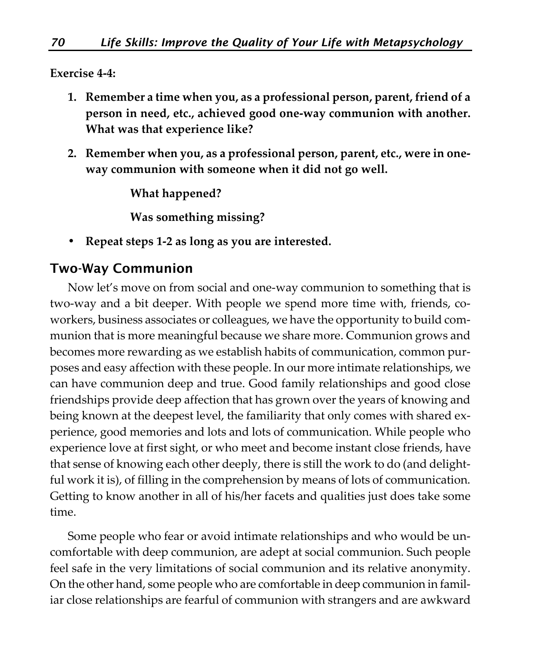**Exercise 4-4:**

- **1. Remember a time when you, as a professional person, parent, friend of a person in need, etc., achieved good one-way communion with another. What was that experience like?**
- **2. Remember when you, as a professional person, parent, etc., were in oneway communion with someone when it did not go well.**

**What happened?**

**Was something missing?**

• **Repeat steps 1-2 as long as you are interested.**

#### **Two-Way Communion**

Now let's move on from social and one-way communion to something that is two-way and a bit deeper. With people we spend more time with, friends, coworkers, business associates or colleagues, we have the opportunity to build communion that is more meaningful because we share more. Communion grows and becomes more rewarding as we establish habits of communication, common purposes and easy affection with these people. In our more intimate relationships, we can have communion deep and true. Good family relationships and good close friendships provide deep affection that has grown over the years of knowing and being known at the deepest level, the familiarity that only comes with shared experience, good memories and lots and lots of communication. While people who experience love at first sight, or who meet and become instant close friends, have that sense of knowing each other deeply, there is still the work to do (and delightful work it is), of filling in the comprehension by means of lots of communication. Getting to know another in all of his/her facets and qualities just does take some time.

Some people who fear or avoid intimate relationships and who would be uncomfortable with deep communion, are adept at social communion. Such people feel safe in the very limitations of social communion and its relative anonymity. On the other hand, some people who are comfortable in deep communion in familiar close relationships are fearful of communion with strangers and are awkward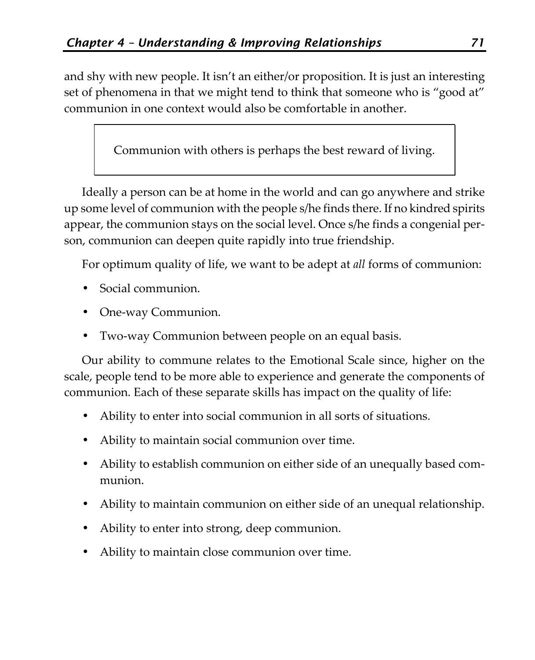and shy with new people. It isn't an either/or proposition. It is just an interesting set of phenomena in that we might tend to think that someone who is "good at" communion in one context would also be comfortable in another.

Communion with others is perhaps the best reward of living.

Ideally a person can be at home in the world and can go anywhere and strike up some level of communion with the people s/he finds there. If no kindred spirits appear, the communion stays on the social level. Once s/he finds a congenial person, communion can deepen quite rapidly into true friendship.

For optimum quality of life, we want to be adept at *all* forms of communion:

- Social communion.
- One-way Communion.
- Two-way Communion between people on an equal basis.

Our ability to commune relates to the Emotional Scale since, higher on the scale, people tend to be more able to experience and generate the components of communion. Each of these separate skills has impact on the quality of life:

- Ability to enter into social communion in all sorts of situations.
- Ability to maintain social communion over time.
- Ability to establish communion on either side of an unequally based communion.
- Ability to maintain communion on either side of an unequal relationship.
- Ability to enter into strong, deep communion.
- Ability to maintain close communion over time.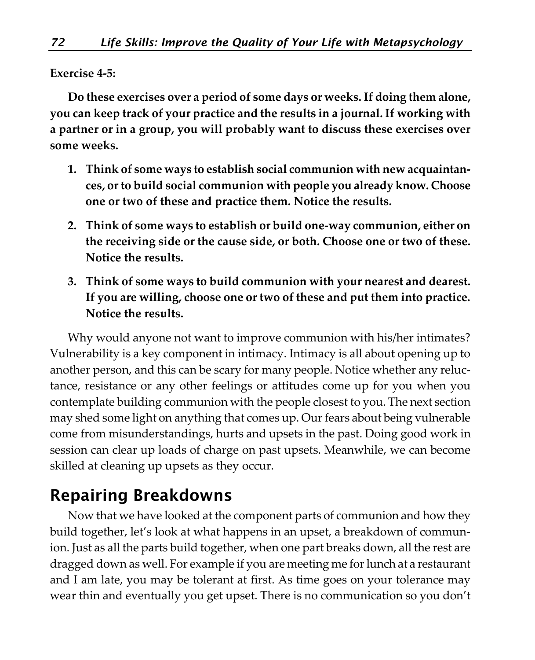**Exercise 4-5:**

**Do these exercises over a period of some days or weeks. If doing them alone, you can keep track of your practice and the results in a journal. If working with a partner or in a group, you will probably want to discuss these exercises over some weeks.** 

- **1. Think of some ways to establish social communion with new acquaintances, or to build social communion with people you already know. Choose one or two of these and practice them. Notice the results.**
- **2. Think of some ways to establish or build one-way communion, either on the receiving side or the cause side, or both. Choose one or two of these. Notice the results.**
- **3. Think of some ways to build communion with your nearest and dearest. If you are willing, choose one or two of these and put them into practice. Notice the results.**

Why would anyone not want to improve communion with his/her intimates? Vulnerability is a key component in intimacy. Intimacy is all about opening up to another person, and this can be scary for many people. Notice whether any reluctance, resistance or any other feelings or attitudes come up for you when you contemplate building communion with the people closest to you. The next section may shed some light on anything that comes up. Our fears about being vulnerable come from misunderstandings, hurts and upsets in the past. Doing good work in session can clear up loads of charge on past upsets. Meanwhile, we can become skilled at cleaning up upsets as they occur.

# **Repairing Breakdowns**

Now that we have looked at the component parts of communion and how they build together, let's look at what happens in an upset, a breakdown of communion. Just as all the parts build together, when one part breaks down, all the rest are dragged down as well. For example if you are meeting me for lunch at a restaurant and I am late, you may be tolerant at first. As time goes on your tolerance may wear thin and eventually you get upset. There is no communication so you don't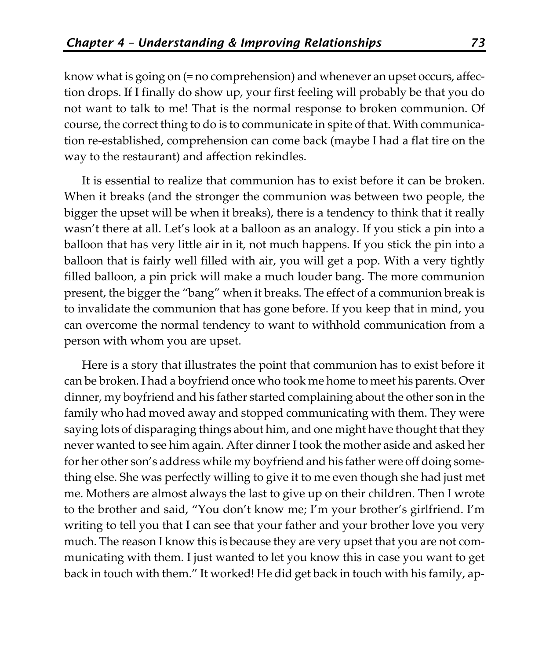know what is going on (= no comprehension) and whenever an upset occurs, affection drops. If I finally do show up, your first feeling will probably be that you do not want to talk to me! That is the normal response to broken communion. Of course, the correct thing to do is to communicate in spite of that. With communication re-established, comprehension can come back (maybe I had a flat tire on the way to the restaurant) and affection rekindles.

It is essential to realize that communion has to exist before it can be broken. When it breaks (and the stronger the communion was between two people, the bigger the upset will be when it breaks), there is a tendency to think that it really wasn't there at all. Let's look at a balloon as an analogy. If you stick a pin into a balloon that has very little air in it, not much happens. If you stick the pin into a balloon that is fairly well filled with air, you will get a pop. With a very tightly filled balloon, a pin prick will make a much louder bang. The more communion present, the bigger the "bang" when it breaks. The effect of a communion break is to invalidate the communion that has gone before. If you keep that in mind, you can overcome the normal tendency to want to withhold communication from a person with whom you are upset.

Here is a story that illustrates the point that communion has to exist before it can be broken. I had a boyfriend once who took me home to meet his parents. Over dinner, my boyfriend and his father started complaining about the other son in the family who had moved away and stopped communicating with them. They were saying lots of disparaging things about him, and one might have thought that they never wanted to see him again. After dinner I took the mother aside and asked her for her other son's address while my boyfriend and his father were off doing something else. She was perfectly willing to give it to me even though she had just met me. Mothers are almost always the last to give up on their children. Then I wrote to the brother and said, "You don't know me; I'm your brother's girlfriend. I'm writing to tell you that I can see that your father and your brother love you very much. The reason I know this is because they are very upset that you are not communicating with them. I just wanted to let you know this in case you want to get back in touch with them." It worked! He did get back in touch with his family, ap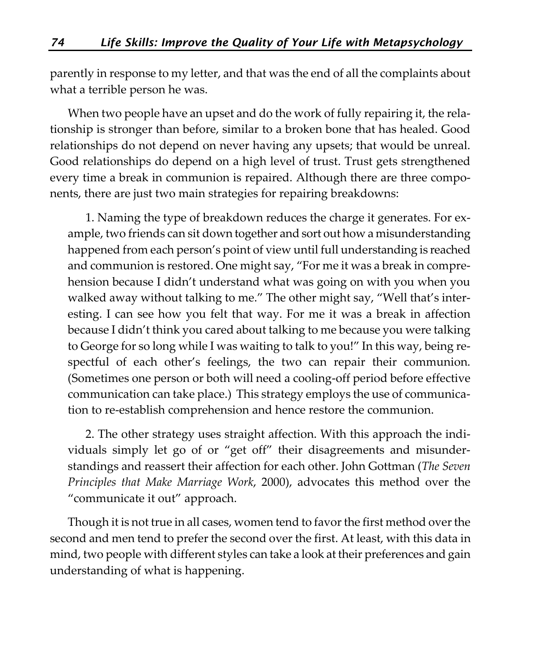parently in response to my letter, and that was the end of all the complaints about what a terrible person he was.

When two people have an upset and do the work of fully repairing it, the relationship is stronger than before, similar to a broken bone that has healed. Good relationships do not depend on never having any upsets; that would be unreal. Good relationships do depend on a high level of trust. Trust gets strengthened every time a break in communion is repaired. Although there are three components, there are just two main strategies for repairing breakdowns:

1. Naming the type of breakdown reduces the charge it generates. For example, two friends can sit down together and sort out how a misunderstanding happened from each person's point of view until full understanding is reached and communion is restored. One might say, "For me it was a break in comprehension because I didn't understand what was going on with you when you walked away without talking to me." The other might say, "Well that's interesting. I can see how you felt that way. For me it was a break in affection because I didn't think you cared about talking to me because you were talking to George for so long while I was waiting to talk to you!" In this way, being respectful of each other's feelings, the two can repair their communion. (Sometimes one person or both will need a cooling-off period before effective communication can take place.) This strategy employs the use of communication to re-establish comprehension and hence restore the communion.

2. The other strategy uses straight affection. With this approach the individuals simply let go of or "get off" their disagreements and misunderstandings and reassert their affection for each other. John Gottman (*The Seven Principles that Make Marriage Work*, 2000), advocates this method over the "communicate it out" approach.

Though it is not true in all cases, women tend to favor the first method over the second and men tend to prefer the second over the first. At least, with this data in mind, two people with different styles can take a look at their preferences and gain understanding of what is happening.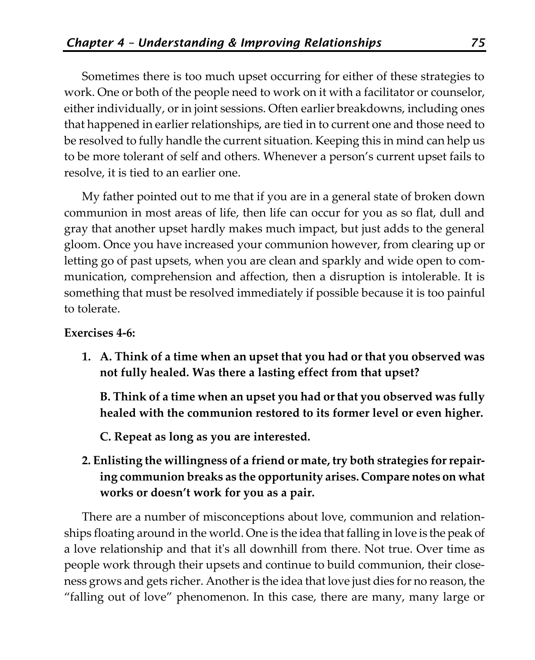Sometimes there is too much upset occurring for either of these strategies to work. One or both of the people need to work on it with a facilitator or counselor, either individually, or in joint sessions. Often earlier breakdowns, including ones that happened in earlier relationships, are tied in to current one and those need to be resolved to fully handle the current situation. Keeping this in mind can help us to be more tolerant of self and others. Whenever a person's current upset fails to resolve, it is tied to an earlier one.

My father pointed out to me that if you are in a general state of broken down communion in most areas of life, then life can occur for you as so flat, dull and gray that another upset hardly makes much impact, but just adds to the general gloom. Once you have increased your communion however, from clearing up or letting go of past upsets, when you are clean and sparkly and wide open to communication, comprehension and affection, then a disruption is intolerable. It is something that must be resolved immediately if possible because it is too painful to tolerate.

#### **Exercises 4-6:**

**1. A. Think of a time when an upset that you had or that you observed was not fully healed. Was there a lasting effect from that upset?**

**B. Think of a time when an upset you had or that you observed was fully healed with the communion restored to its former level or even higher.** 

**C. Repeat as long as you are interested.**

#### **2. Enlisting the willingness of a friend or mate, try both strategies for repairing communion breaks as the opportunity arises. Compare notes on what works or doesn't work for you as a pair.**

There are a number of misconceptions about love, communion and relationships floating around in the world. One is the idea that falling in love is the peak of a love relationship and that it's all downhill from there. Not true. Over time as people work through their upsets and continue to build communion, their closeness grows and gets richer. Another is the idea that love just dies for no reason, the "falling out of love" phenomenon. In this case, there are many, many large or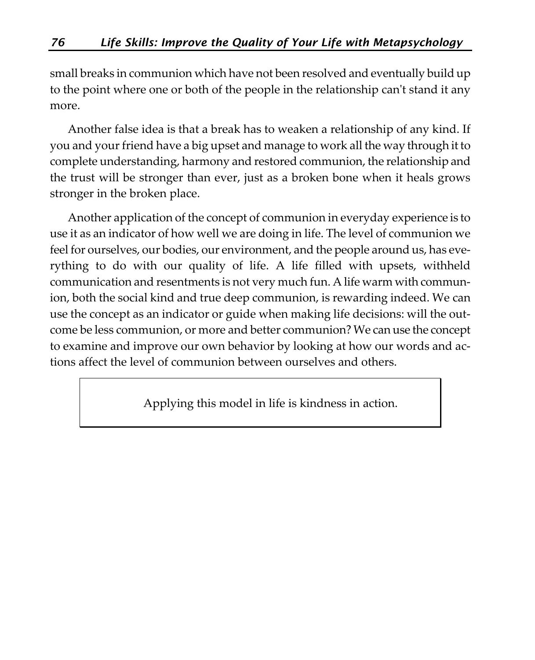small breaks in communion which have not been resolved and eventually build up to the point where one or both of the people in the relationship can't stand it any more.

Another false idea is that a break has to weaken a relationship of any kind. If you and your friend have a big upset and manage to work all the way through it to complete understanding, harmony and restored communion, the relationship and the trust will be stronger than ever, just as a broken bone when it heals grows stronger in the broken place.

Another application of the concept of communion in everyday experience is to use it as an indicator of how well we are doing in life. The level of communion we feel for ourselves, our bodies, our environment, and the people around us, has everything to do with our quality of life. A life filled with upsets, withheld communication and resentments is not very much fun. A life warm with communion, both the social kind and true deep communion, is rewarding indeed. We can use the concept as an indicator or guide when making life decisions: will the outcome be less communion, or more and better communion? We can use the concept to examine and improve our own behavior by looking at how our words and actions affect the level of communion between ourselves and others.

Applying this model in life is kindness in action.